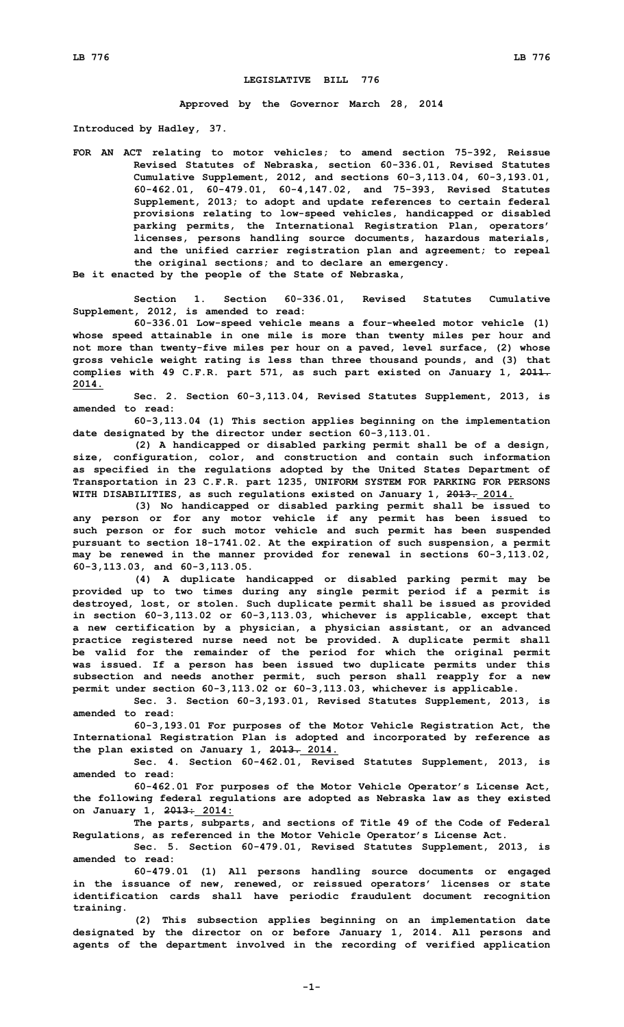## **LEGISLATIVE BILL 776**

**Approved by the Governor March 28, 2014**

**Introduced by Hadley, 37.**

**FOR AN ACT relating to motor vehicles; to amend section 75-392, Reissue Revised Statutes of Nebraska, section 60-336.01, Revised Statutes Cumulative Supplement, 2012, and sections 60-3,113.04, 60-3,193.01, 60-462.01, 60-479.01, 60-4,147.02, and 75-393, Revised Statutes Supplement, 2013; to adopt and update references to certain federal provisions relating to low-speed vehicles, handicapped or disabled parking permits, the International Registration Plan, operators' licenses, persons handling source documents, hazardous materials, and the unified carrier registration plan and agreement; to repeal the original sections; and to declare an emergency.**

**Be it enacted by the people of the State of Nebraska,**

**Section 1. Section 60-336.01, Revised Statutes Cumulative Supplement, 2012, is amended to read:**

**60-336.01 Low-speed vehicle means <sup>a</sup> four-wheeled motor vehicle (1) whose speed attainable in one mile is more than twenty miles per hour and not more than twenty-five miles per hour on <sup>a</sup> paved, level surface, (2) whose gross vehicle weight rating is less than three thousand pounds, and (3) that complies with 49 C.F.R. part 571, as such part existed on January 1, 2011. 2014.**

**Sec. 2. Section 60-3,113.04, Revised Statutes Supplement, 2013, is amended to read:**

**60-3,113.04 (1) This section applies beginning on the implementation date designated by the director under section 60-3,113.01.**

**(2) <sup>A</sup> handicapped or disabled parking permit shall be of <sup>a</sup> design, size, configuration, color, and construction and contain such information as specified in the regulations adopted by the United States Department of Transportation in 23 C.F.R. part 1235, UNIFORM SYSTEM FOR PARKING FOR PERSONS WITH DISABILITIES, as such regulations existed on January 1, 2013. 2014.**

**(3) No handicapped or disabled parking permit shall be issued to any person or for any motor vehicle if any permit has been issued to such person or for such motor vehicle and such permit has been suspended pursuant to section 18-1741.02. At the expiration of such suspension, <sup>a</sup> permit may be renewed in the manner provided for renewal in sections 60-3,113.02, 60-3,113.03, and 60-3,113.05.**

**(4) <sup>A</sup> duplicate handicapped or disabled parking permit may be provided up to two times during any single permit period if <sup>a</sup> permit is destroyed, lost, or stolen. Such duplicate permit shall be issued as provided in section 60-3,113.02 or 60-3,113.03, whichever is applicable, except that <sup>a</sup> new certification by <sup>a</sup> physician, <sup>a</sup> physician assistant, or an advanced practice registered nurse need not be provided. A duplicate permit shall be valid for the remainder of the period for which the original permit was issued. If <sup>a</sup> person has been issued two duplicate permits under this subsection and needs another permit, such person shall reapply for <sup>a</sup> new permit under section 60-3,113.02 or 60-3,113.03, whichever is applicable.**

**Sec. 3. Section 60-3,193.01, Revised Statutes Supplement, 2013, is amended to read:**

**60-3,193.01 For purposes of the Motor Vehicle Registration Act, the International Registration Plan is adopted and incorporated by reference as the plan existed on January 1, 2013. 2014.**

**Sec. 4. Section 60-462.01, Revised Statutes Supplement, 2013, is amended to read:**

**60-462.01 For purposes of the Motor Vehicle Operator's License Act, the following federal regulations are adopted as Nebraska law as they existed on January 1, 2013: 2014:**

**The parts, subparts, and sections of Title 49 of the Code of Federal Regulations, as referenced in the Motor Vehicle Operator's License Act.**

**Sec. 5. Section 60-479.01, Revised Statutes Supplement, 2013, is amended to read:**

**60-479.01 (1) All persons handling source documents or engaged in the issuance of new, renewed, or reissued operators' licenses or state identification cards shall have periodic fraudulent document recognition training.**

**(2) This subsection applies beginning on an implementation date designated by the director on or before January 1, 2014. All persons and agents of the department involved in the recording of verified application**